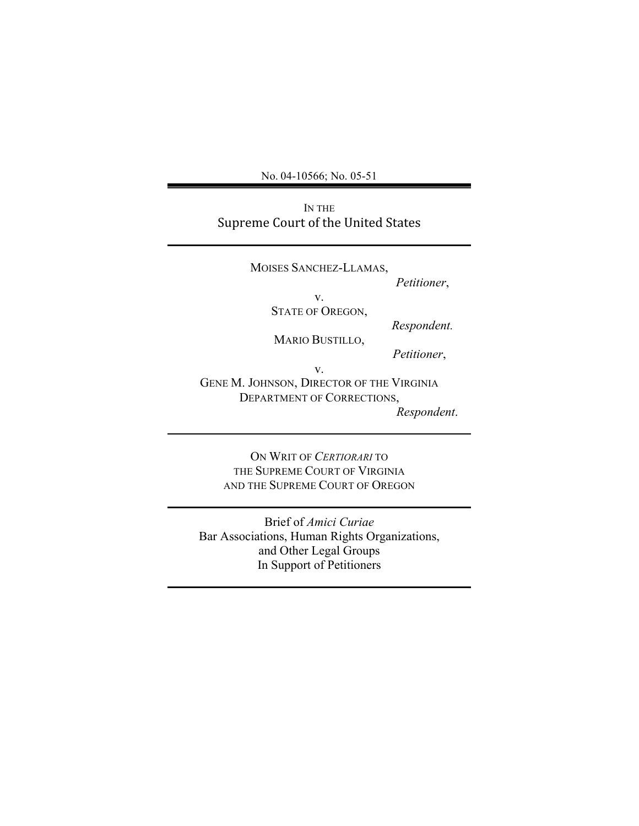No. 04-10566; No. 05-51

IN THE Supreme
Court
of
the
United
States

MOISES SANCHEZ-LLAMAS, *Petitioner*, v. STATE OF OREGON, *Respondent.* MARIO BUSTILLO,  *Petitioner*, v. GENE M. JOHNSON, DIRECTOR OF THE VIRGINIA DEPARTMENT OF CORRECTIONS,

*Respondent*.

ON WRIT OF *CERTIORARI* TO THE SUPREME COURT OF VIRGINIA AND THE SUPREME COURT OF OREGON

Brief of *Amici Curiae* Bar Associations, Human Rights Organizations, and Other Legal Groups In Support of Petitioners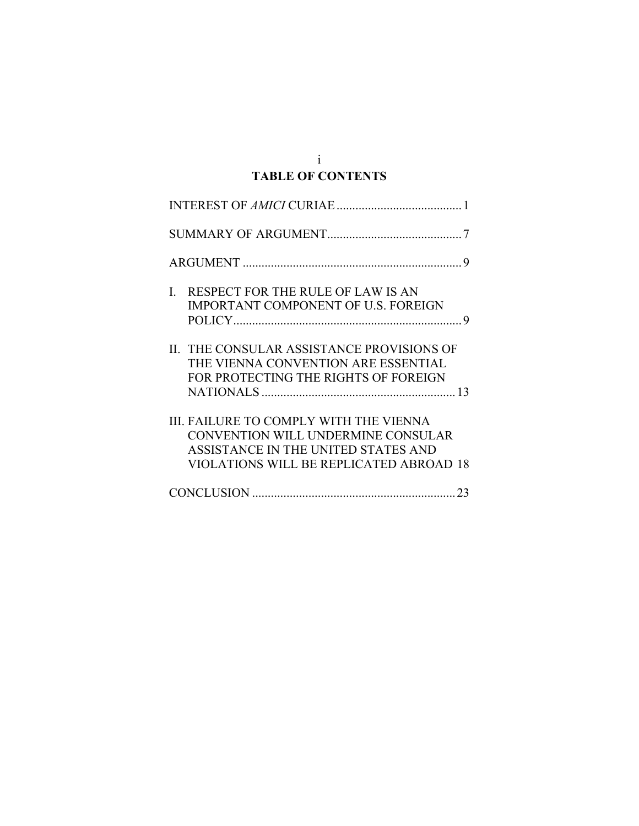## i **TABLE OF CONTENTS**

| RESPECT FOR THE RULE OF LAW IS AN<br>L<br>IMPORTANT COMPONENT OF U.S. FOREIGN                                                                                  |
|----------------------------------------------------------------------------------------------------------------------------------------------------------------|
| II. THE CONSULAR ASSISTANCE PROVISIONS OF<br>THE VIENNA CONVENTION ARE ESSENTIAL<br>FOR PROTECTING THE RIGHTS OF FOREIGN                                       |
| III. FAILURE TO COMPLY WITH THE VIENNA<br>CONVENTION WILL UNDERMINE CONSULAR<br>ASSISTANCE IN THE UNITED STATES AND<br>VIOLATIONS WILL BE REPLICATED ABROAD 18 |
|                                                                                                                                                                |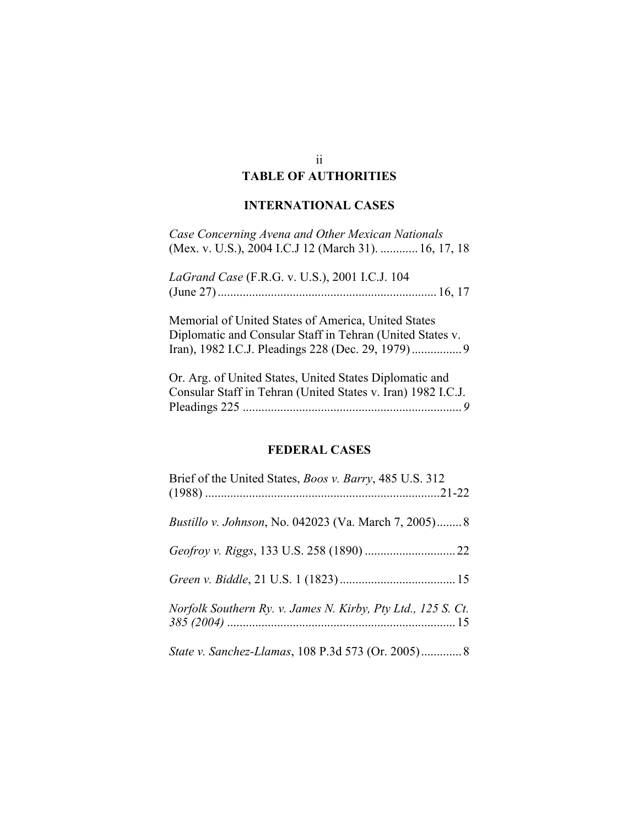# **TABLE OF AUTHORITIES**

## **INTERNATIONAL CASES**

| Case Concerning Avena and Other Mexican Nationals<br>(Mex. v. U.S.), 2004 I.C.J 12 (March 31).  16, 17, 18       |
|------------------------------------------------------------------------------------------------------------------|
| LaGrand Case (F.R.G. v. U.S.), 2001 I.C.J. 104                                                                   |
| Memorial of United States of America, United States<br>Diplomatic and Consular Staff in Tehran (United States v. |
| Or. Arg. of United States, United States Diplomatic and                                                          |

Consular Staff in Tehran (United States v. Iran) 1982 I.C.J. Pleadings 225 ......................................................................*9*

## **FEDERAL CASES**

| Brief of the United States, <i>Boos v. Barry</i> , 485 U.S. 312 |  |
|-----------------------------------------------------------------|--|
| <i>Bustillo v. Johnson</i> , No. 042023 (Va. March 7, 2005) 8   |  |
|                                                                 |  |
|                                                                 |  |
| Norfolk Southern Ry. v. James N. Kirby, Pty Ltd., 125 S. Ct.    |  |
| State v. Sanchez-Llamas, 108 P.3d 573 (Or. 2005) 8              |  |

#### ii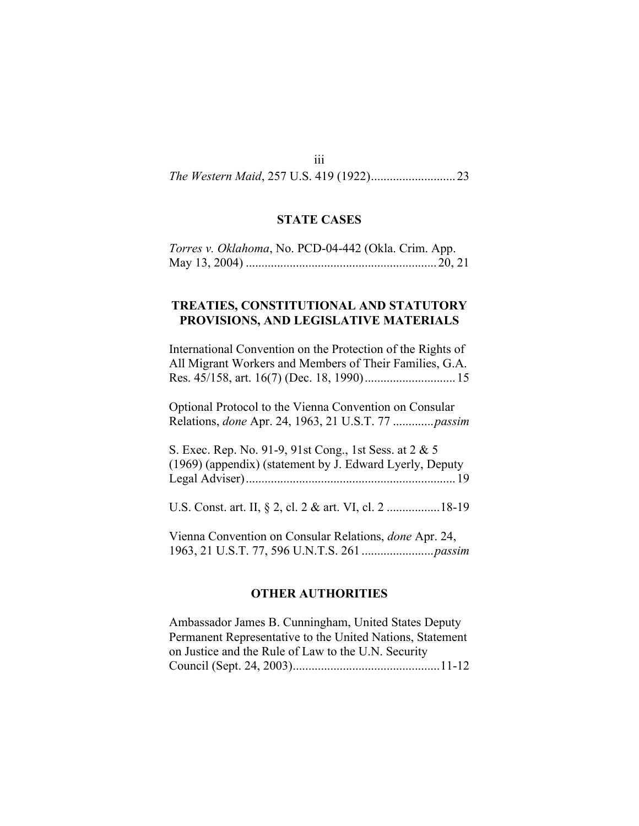#### iii

*The Western Maid*, 257 U.S. 419 (1922)...........................23

### **STATE CASES**

| Torres v. Oklahoma, No. PCD-04-442 (Okla. Crim. App. |  |
|------------------------------------------------------|--|
|                                                      |  |

### **TREATIES, CONSTITUTIONAL AND STATUTORY PROVISIONS, AND LEGISLATIVE MATERIALS**

International Convention on the Protection of the Rights of All Migrant Workers and Members of Their Families, G.A. Res. 45/158, art. 16(7) (Dec. 18, 1990).............................15

Optional Protocol to the Vienna Convention on Consular Relations, *done* Apr. 24, 1963, 21 U.S.T. 77 .............*passim*

S. Exec. Rep. No. 91-9, 91st Cong., 1st Sess. at 2 & 5 (1969) (appendix) (statement by J. Edward Lyerly, Deputy Legal Adviser)...................................................................19

U.S. Const. art. II, § 2, cl. 2 & art. VI, cl. 2 .................18-19

Vienna Convention on Consular Relations, *done* Apr. 24, 1963, 21 U.S.T. 77, 596 U.N.T.S. 261 .......................*passim*

#### **OTHER AUTHORITIES**

Ambassador James B. Cunningham, United States Deputy Permanent Representative to the United Nations, Statement on Justice and the Rule of Law to the U.N. Security Council (Sept. 24, 2003)...............................................11-12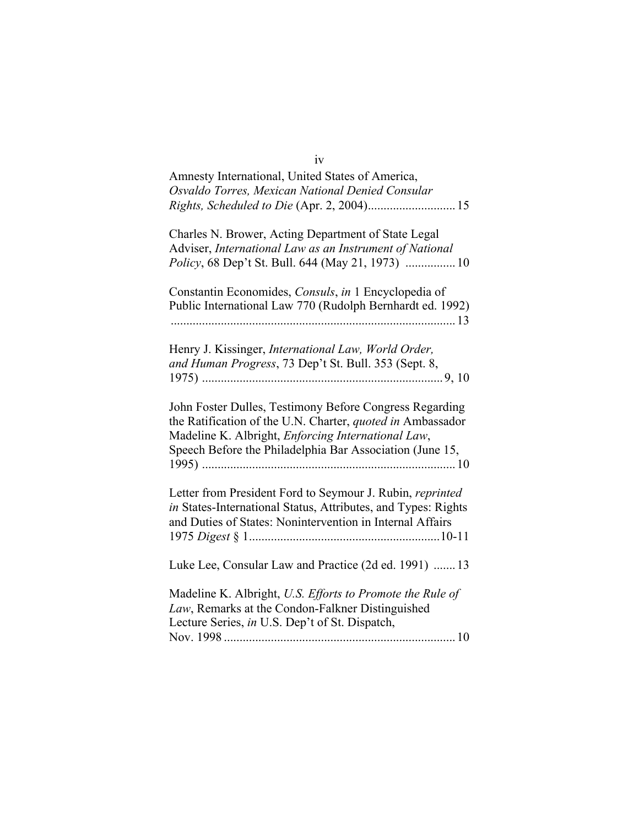| Amnesty International, United States of America,<br>Osvaldo Torres, Mexican National Denied Consular                                                                                                                                    |
|-----------------------------------------------------------------------------------------------------------------------------------------------------------------------------------------------------------------------------------------|
|                                                                                                                                                                                                                                         |
| Charles N. Brower, Acting Department of State Legal<br>Adviser, International Law as an Instrument of National<br>Policy, 68 Dep't St. Bull. 644 (May 21, 1973)  10                                                                     |
| Constantin Economides, Consuls, in 1 Encyclopedia of<br>Public International Law 770 (Rudolph Bernhardt ed. 1992)                                                                                                                       |
| Henry J. Kissinger, International Law, World Order,<br>and Human Progress, 73 Dep't St. Bull. 353 (Sept. 8,                                                                                                                             |
| John Foster Dulles, Testimony Before Congress Regarding<br>the Ratification of the U.N. Charter, quoted in Ambassador<br>Madeline K. Albright, Enforcing International Law,<br>Speech Before the Philadelphia Bar Association (June 15, |
| Letter from President Ford to Seymour J. Rubin, reprinted<br>in States-International Status, Attributes, and Types: Rights<br>and Duties of States: Nonintervention in Internal Affairs                                                 |
| Luke Lee, Consular Law and Practice (2d ed. 1991)  13                                                                                                                                                                                   |
| Madeline K. Albright, U.S. Efforts to Promote the Rule of<br>Law, Remarks at the Condon-Falkner Distinguished<br>Lecture Series, in U.S. Dep't of St. Dispatch,                                                                         |
|                                                                                                                                                                                                                                         |

iv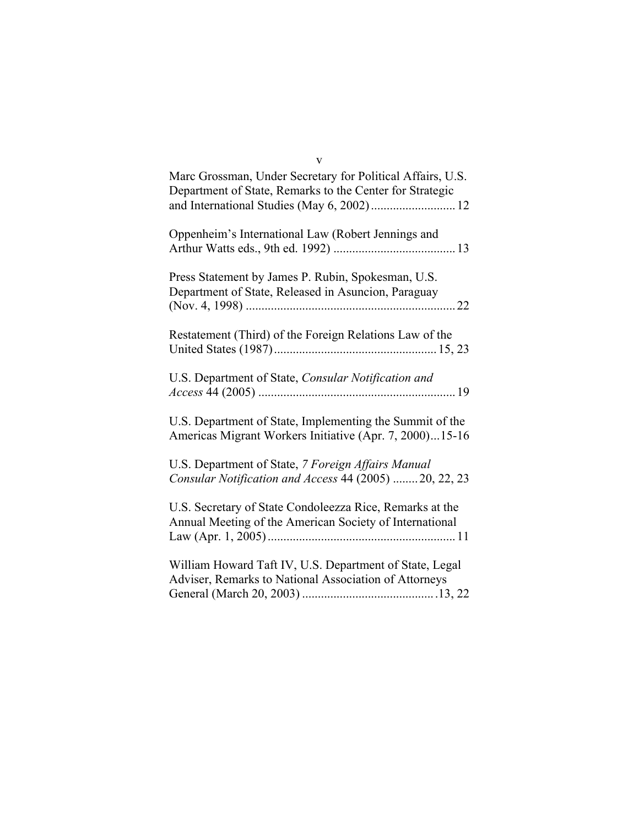| Marc Grossman, Under Secretary for Political Affairs, U.S.<br>Department of State, Remarks to the Center for Strategic |
|------------------------------------------------------------------------------------------------------------------------|
| Oppenheim's International Law (Robert Jennings and                                                                     |
| Press Statement by James P. Rubin, Spokesman, U.S.<br>Department of State, Released in Asuncion, Paraguay              |
| Restatement (Third) of the Foreign Relations Law of the                                                                |
| U.S. Department of State, Consular Notification and                                                                    |
| U.S. Department of State, Implementing the Summit of the<br>Americas Migrant Workers Initiative (Apr. 7, 2000)15-16    |
| U.S. Department of State, 7 Foreign Affairs Manual<br>Consular Notification and Access 44 (2005)  20, 22, 23           |
| U.S. Secretary of State Condoleezza Rice, Remarks at the<br>Annual Meeting of the American Society of International    |
| William Howard Taft IV, U.S. Department of State, Legal<br>Adviser, Remarks to National Association of Attorneys       |

v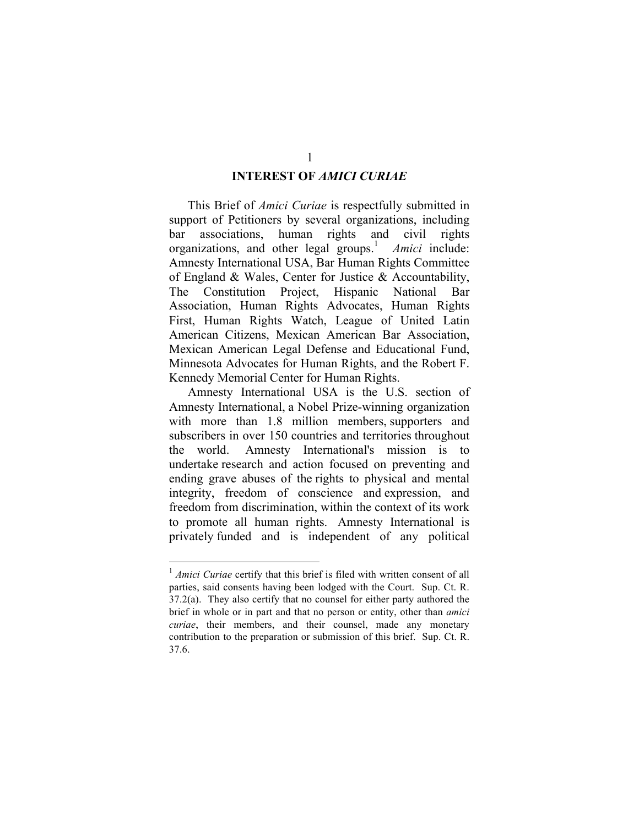### **INTEREST OF** *AMICI CURIAE*

This Brief of *Amici Curiae* is respectfully submitted in support of Petitioners by several organizations, including bar associations, human rights and civil rights organizations, and other legal groups.<sup>1</sup> Amici include: Amnesty International USA, Bar Human Rights Committee of England & Wales, Center for Justice & Accountability, The Constitution Project, Hispanic National Bar Association, Human Rights Advocates, Human Rights First, Human Rights Watch, League of United Latin American Citizens, Mexican American Bar Association, Mexican American Legal Defense and Educational Fund, Minnesota Advocates for Human Rights, and the Robert F. Kennedy Memorial Center for Human Rights.

Amnesty International USA is the U.S. section of Amnesty International, a Nobel Prize-winning organization with more than 1.8 million members, supporters and subscribers in over 150 countries and territories throughout the world. Amnesty International's mission is to undertake research and action focused on preventing and ending grave abuses of the rights to physical and mental integrity, freedom of conscience and expression, and freedom from discrimination, within the context of its work to promote all human rights. Amnesty International is privately funded and is independent of any political

<sup>&</sup>lt;sup>1</sup> *Amici Curiae* certify that this brief is filed with written consent of all parties, said consents having been lodged with the Court. Sup. Ct. R. 37.2(a). They also certify that no counsel for either party authored the brief in whole or in part and that no person or entity, other than *amici curiae*, their members, and their counsel, made any monetary contribution to the preparation or submission of this brief. Sup. Ct. R. 37.6.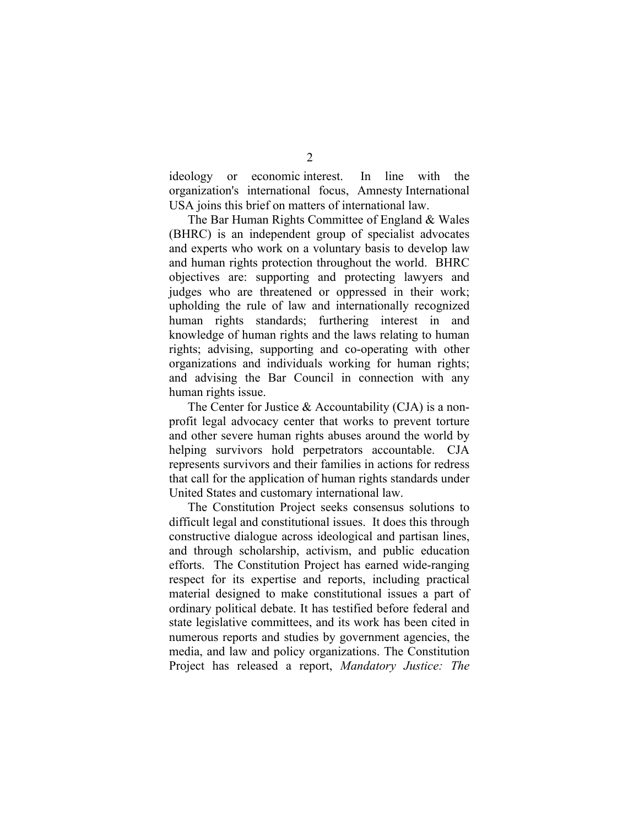ideology or economic interest. In line with the organization's international focus, Amnesty International USA joins this brief on matters of international law.

The Bar Human Rights Committee of England & Wales (BHRC) is an independent group of specialist advocates and experts who work on a voluntary basis to develop law and human rights protection throughout the world. BHRC objectives are: supporting and protecting lawyers and judges who are threatened or oppressed in their work; upholding the rule of law and internationally recognized human rights standards; furthering interest in and knowledge of human rights and the laws relating to human rights; advising, supporting and co-operating with other organizations and individuals working for human rights; and advising the Bar Council in connection with any human rights issue.

The Center for Justice & Accountability (CJA) is a nonprofit legal advocacy center that works to prevent torture and other severe human rights abuses around the world by helping survivors hold perpetrators accountable. CJA represents survivors and their families in actions for redress that call for the application of human rights standards under United States and customary international law.

The Constitution Project seeks consensus solutions to difficult legal and constitutional issues. It does this through constructive dialogue across ideological and partisan lines, and through scholarship, activism, and public education efforts. The Constitution Project has earned wide-ranging respect for its expertise and reports, including practical material designed to make constitutional issues a part of ordinary political debate. It has testified before federal and state legislative committees, and its work has been cited in numerous reports and studies by government agencies, the media, and law and policy organizations. The Constitution Project has released a report, *Mandatory Justice: The*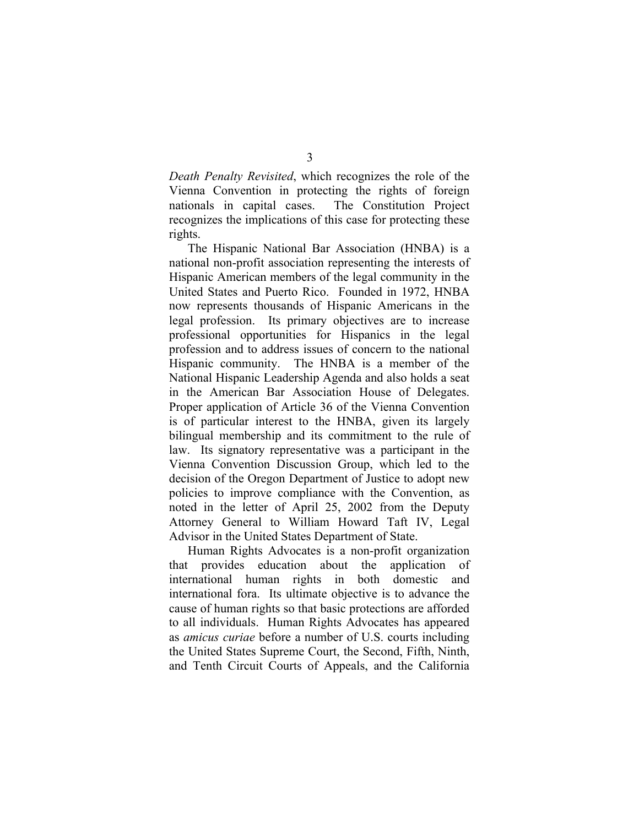*Death Penalty Revisited*, which recognizes the role of the Vienna Convention in protecting the rights of foreign nationals in capital cases. The Constitution Project recognizes the implications of this case for protecting these rights.

The Hispanic National Bar Association (HNBA) is a national non-profit association representing the interests of Hispanic American members of the legal community in the United States and Puerto Rico. Founded in 1972, HNBA now represents thousands of Hispanic Americans in the legal profession. Its primary objectives are to increase professional opportunities for Hispanics in the legal profession and to address issues of concern to the national Hispanic community. The HNBA is a member of the National Hispanic Leadership Agenda and also holds a seat in the American Bar Association House of Delegates. Proper application of Article 36 of the Vienna Convention is of particular interest to the HNBA, given its largely bilingual membership and its commitment to the rule of law. Its signatory representative was a participant in the Vienna Convention Discussion Group, which led to the decision of the Oregon Department of Justice to adopt new policies to improve compliance with the Convention, as noted in the letter of April 25, 2002 from the Deputy Attorney General to William Howard Taft IV, Legal Advisor in the United States Department of State.

Human Rights Advocates is a non-profit organization that provides education about the application of international human rights in both domestic and international fora. Its ultimate objective is to advance the cause of human rights so that basic protections are afforded to all individuals. Human Rights Advocates has appeared as *amicus curiae* before a number of U.S. courts including the United States Supreme Court, the Second, Fifth, Ninth, and Tenth Circuit Courts of Appeals, and the California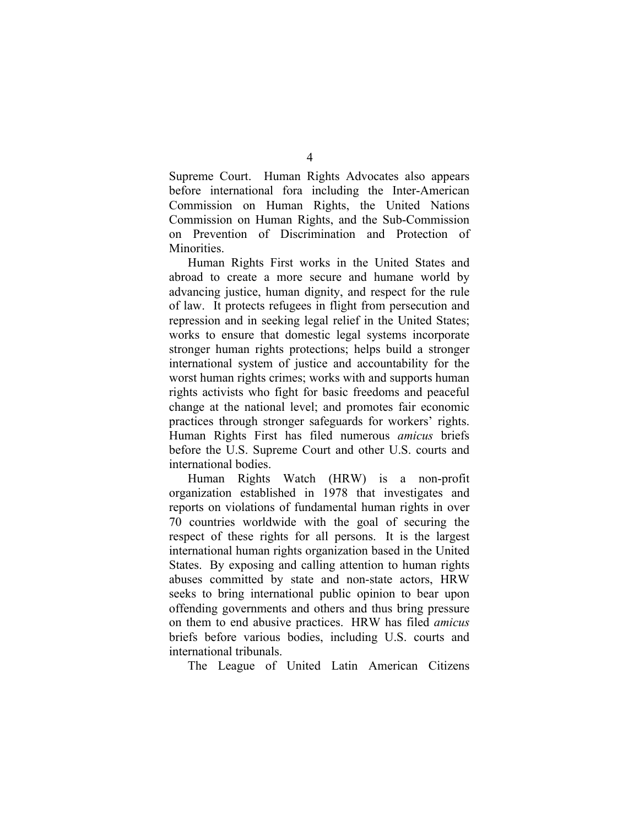Supreme Court. Human Rights Advocates also appears before international fora including the Inter-American Commission on Human Rights, the United Nations Commission on Human Rights, and the Sub-Commission on Prevention of Discrimination and Protection of Minorities.

Human Rights First works in the United States and abroad to create a more secure and humane world by advancing justice, human dignity, and respect for the rule of law. It protects refugees in flight from persecution and repression and in seeking legal relief in the United States; works to ensure that domestic legal systems incorporate stronger human rights protections; helps build a stronger international system of justice and accountability for the worst human rights crimes; works with and supports human rights activists who fight for basic freedoms and peaceful change at the national level; and promotes fair economic practices through stronger safeguards for workers' rights. Human Rights First has filed numerous *amicus* briefs before the U.S. Supreme Court and other U.S. courts and international bodies.

Human Rights Watch (HRW) is a non-profit organization established in 1978 that investigates and reports on violations of fundamental human rights in over 70 countries worldwide with the goal of securing the respect of these rights for all persons. It is the largest international human rights organization based in the United States. By exposing and calling attention to human rights abuses committed by state and non-state actors, HRW seeks to bring international public opinion to bear upon offending governments and others and thus bring pressure on them to end abusive practices. HRW has filed *amicus* briefs before various bodies, including U.S. courts and international tribunals.

The League of United Latin American Citizens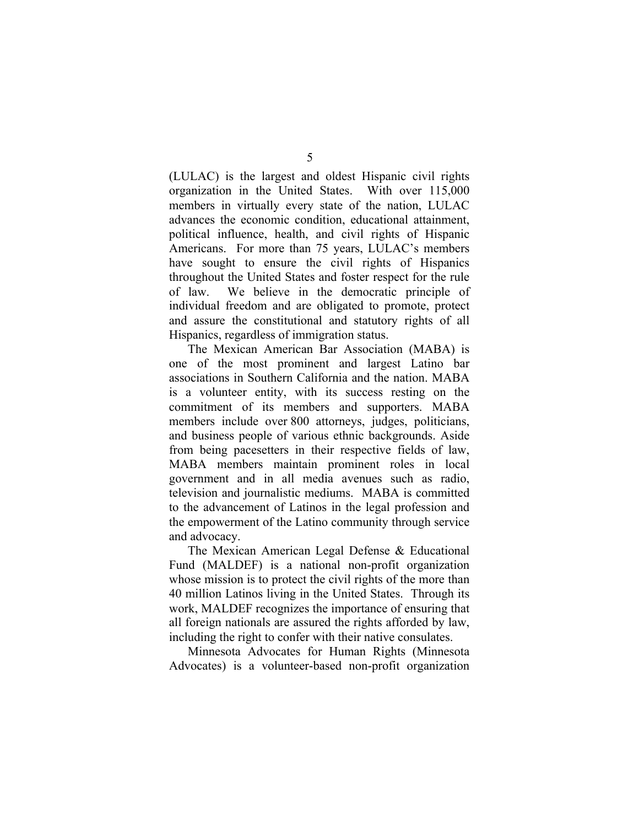(LULAC) is the largest and oldest Hispanic civil rights organization in the United States. With over 115,000 members in virtually every state of the nation, LULAC advances the economic condition, educational attainment, political influence, health, and civil rights of Hispanic Americans. For more than 75 years, LULAC's members have sought to ensure the civil rights of Hispanics throughout the United States and foster respect for the rule of law. We believe in the democratic principle of individual freedom and are obligated to promote, protect and assure the constitutional and statutory rights of all Hispanics, regardless of immigration status.

The Mexican American Bar Association (MABA) is one of the most prominent and largest Latino bar associations in Southern California and the nation. MABA is a volunteer entity, with its success resting on the commitment of its members and supporters. MABA members include over 800 attorneys, judges, politicians, and business people of various ethnic backgrounds. Aside from being pacesetters in their respective fields of law, MABA members maintain prominent roles in local government and in all media avenues such as radio, television and journalistic mediums. MABA is committed to the advancement of Latinos in the legal profession and the empowerment of the Latino community through service and advocacy.

The Mexican American Legal Defense & Educational Fund (MALDEF) is a national non-profit organization whose mission is to protect the civil rights of the more than 40 million Latinos living in the United States. Through its work, MALDEF recognizes the importance of ensuring that all foreign nationals are assured the rights afforded by law, including the right to confer with their native consulates.

Minnesota Advocates for Human Rights (Minnesota Advocates) is a volunteer-based non-profit organization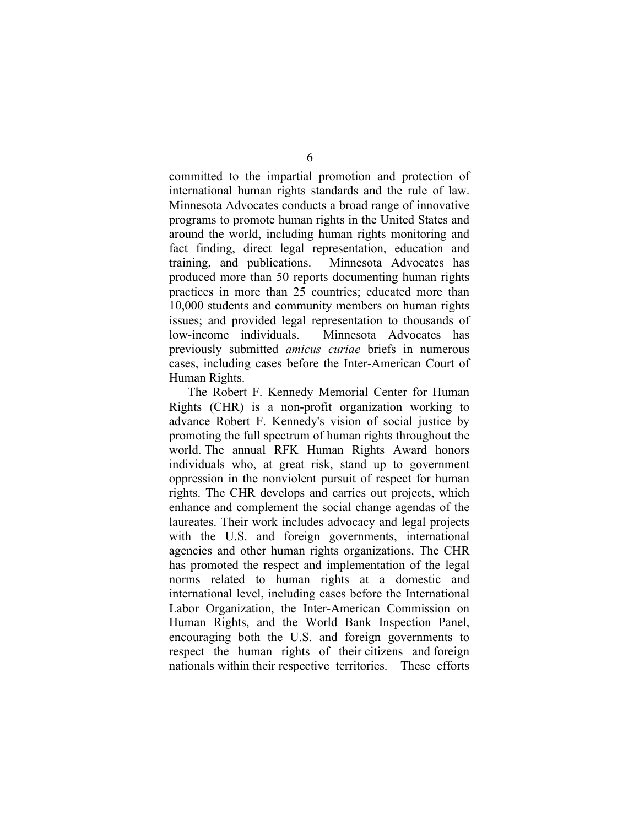committed to the impartial promotion and protection of international human rights standards and the rule of law. Minnesota Advocates conducts a broad range of innovative programs to promote human rights in the United States and around the world, including human rights monitoring and fact finding, direct legal representation, education and training, and publications. Minnesota Advocates has produced more than 50 reports documenting human rights practices in more than 25 countries; educated more than 10,000 students and community members on human rights issues; and provided legal representation to thousands of low-income individuals. Minnesota Advocates has previously submitted *amicus curiae* briefs in numerous cases, including cases before the Inter-American Court of Human Rights.

The Robert F. Kennedy Memorial Center for Human Rights (CHR) is a non-profit organization working to advance Robert F. Kennedy's vision of social justice by promoting the full spectrum of human rights throughout the world. The annual RFK Human Rights Award honors individuals who, at great risk, stand up to government oppression in the nonviolent pursuit of respect for human rights. The CHR develops and carries out projects, which enhance and complement the social change agendas of the laureates. Their work includes advocacy and legal projects with the U.S. and foreign governments, international agencies and other human rights organizations. The CHR has promoted the respect and implementation of the legal norms related to human rights at a domestic and international level, including cases before the International Labor Organization, the Inter-American Commission on Human Rights, and the World Bank Inspection Panel, encouraging both the U.S. and foreign governments to respect the human rights of their citizens and foreign nationals within their respective territories. These efforts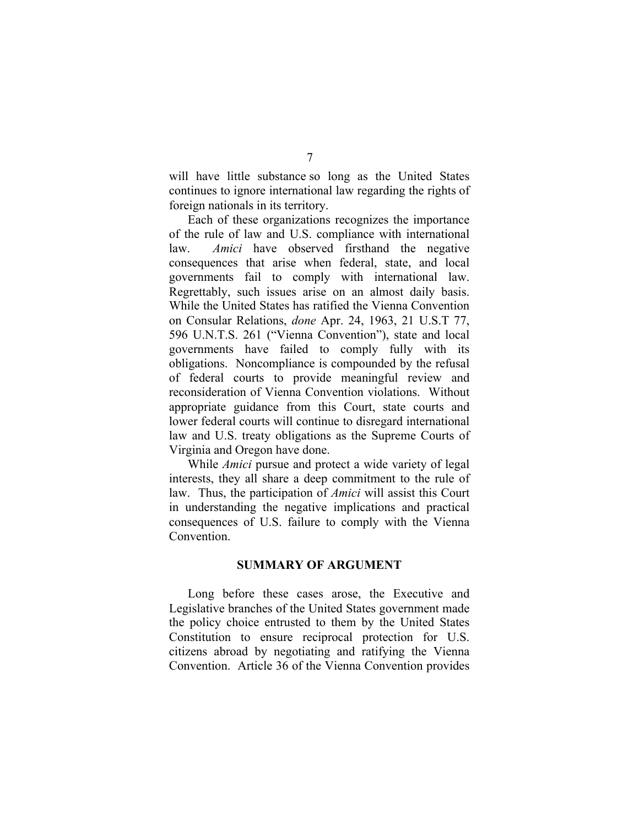will have little substance so long as the United States continues to ignore international law regarding the rights of foreign nationals in its territory.

Each of these organizations recognizes the importance of the rule of law and U.S. compliance with international law. *Amici* have observed firsthand the negative consequences that arise when federal, state, and local governments fail to comply with international law. Regrettably, such issues arise on an almost daily basis. While the United States has ratified the Vienna Convention on Consular Relations, *done* Apr. 24, 1963, 21 U.S.T 77, 596 U.N.T.S. 261 ("Vienna Convention"), state and local governments have failed to comply fully with its obligations. Noncompliance is compounded by the refusal of federal courts to provide meaningful review and reconsideration of Vienna Convention violations. Without appropriate guidance from this Court, state courts and lower federal courts will continue to disregard international law and U.S. treaty obligations as the Supreme Courts of Virginia and Oregon have done.

While *Amici* pursue and protect a wide variety of legal interests, they all share a deep commitment to the rule of law. Thus, the participation of *Amici* will assist this Court in understanding the negative implications and practical consequences of U.S. failure to comply with the Vienna Convention.

#### **SUMMARY OF ARGUMENT**

Long before these cases arose, the Executive and Legislative branches of the United States government made the policy choice entrusted to them by the United States Constitution to ensure reciprocal protection for U.S. citizens abroad by negotiating and ratifying the Vienna Convention. Article 36 of the Vienna Convention provides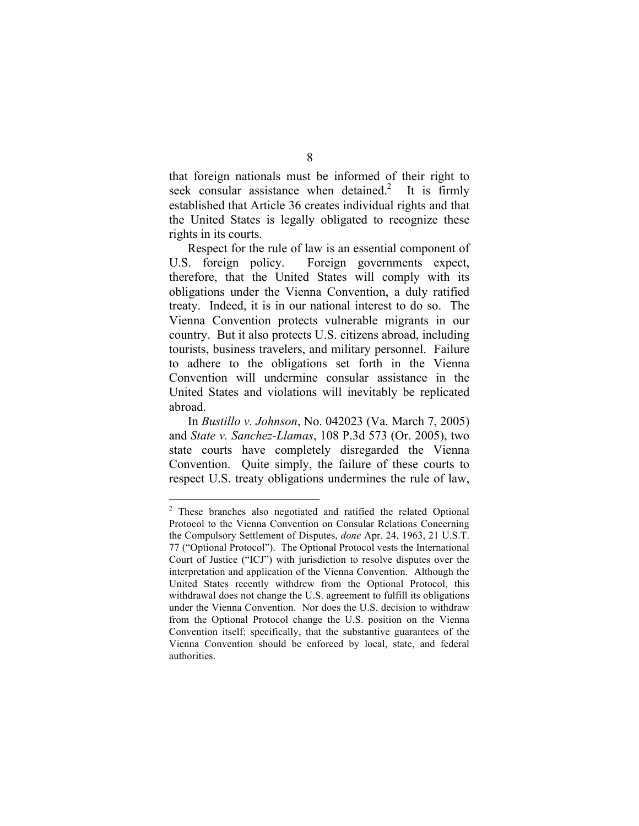that foreign nationals must be informed of their right to seek consular assistance when detained.<sup>2</sup> It is firmly established that Article 36 creates individual rights and that the United States is legally obligated to recognize these rights in its courts.

Respect for the rule of law is an essential component of U.S. foreign policy. Foreign governments expect, therefore, that the United States will comply with its obligations under the Vienna Convention, a duly ratified treaty. Indeed, it is in our national interest to do so. The Vienna Convention protects vulnerable migrants in our country. But it also protects U.S. citizens abroad, including tourists, business travelers, and military personnel. Failure to adhere to the obligations set forth in the Vienna Convention will undermine consular assistance in the United States and violations will inevitably be replicated abroad.

In *Bustillo v. Johnson*, No. 042023 (Va. March 7, 2005) and *State v. Sanchez-Llamas*, 108 P.3d 573 (Or. 2005), two state courts have completely disregarded the Vienna Convention. Quite simply, the failure of these courts to respect U.S. treaty obligations undermines the rule of law,

 <sup>2</sup> These branches also negotiated and ratified the related Optional Protocol to the Vienna Convention on Consular Relations Concerning the Compulsory Settlement of Disputes, *done* Apr. 24, 1963, 21 U.S.T. 77 ("Optional Protocol"). The Optional Protocol vests the International Court of Justice ("ICJ") with jurisdiction to resolve disputes over the interpretation and application of the Vienna Convention. Although the United States recently withdrew from the Optional Protocol, this withdrawal does not change the U.S. agreement to fulfill its obligations under the Vienna Convention. Nor does the U.S. decision to withdraw from the Optional Protocol change the U.S. position on the Vienna Convention itself: specifically, that the substantive guarantees of the Vienna Convention should be enforced by local, state, and federal authorities.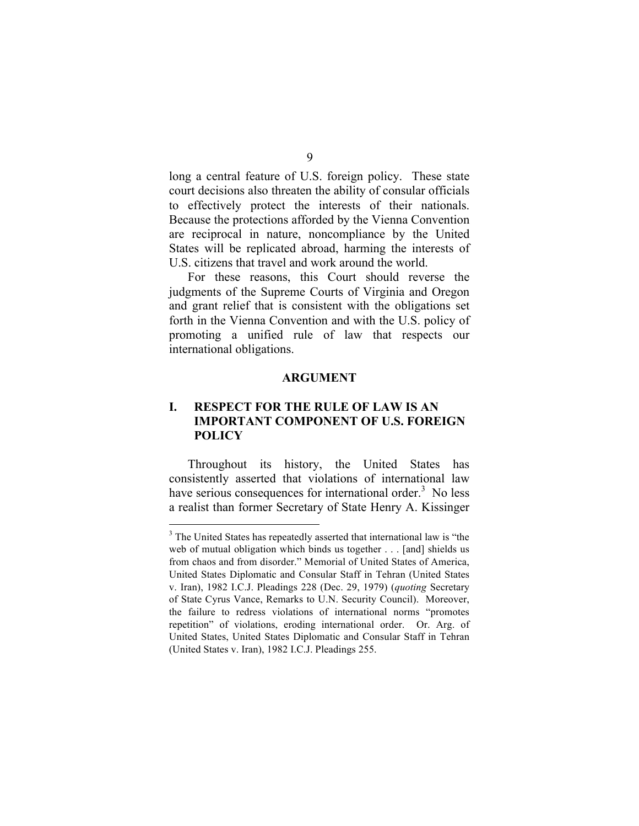long a central feature of U.S. foreign policy. These state court decisions also threaten the ability of consular officials to effectively protect the interests of their nationals. Because the protections afforded by the Vienna Convention are reciprocal in nature, noncompliance by the United States will be replicated abroad, harming the interests of U.S. citizens that travel and work around the world.

For these reasons, this Court should reverse the judgments of the Supreme Courts of Virginia and Oregon and grant relief that is consistent with the obligations set forth in the Vienna Convention and with the U.S. policy of promoting a unified rule of law that respects our international obligations.

#### **ARGUMENT**

## **I. RESPECT FOR THE RULE OF LAW IS AN IMPORTANT COMPONENT OF U.S. FOREIGN POLICY**

Throughout its history, the United States has consistently asserted that violations of international law have serious consequences for international order.<sup>3</sup> No less a realist than former Secretary of State Henry A. Kissinger

 $\frac{1}{3}$ <sup>3</sup> The United States has repeatedly asserted that international law is "the web of mutual obligation which binds us together . . . [and] shields us from chaos and from disorder." Memorial of United States of America, United States Diplomatic and Consular Staff in Tehran (United States v. Iran), 1982 I.C.J. Pleadings 228 (Dec. 29, 1979) (*quoting* Secretary of State Cyrus Vance, Remarks to U.N. Security Council). Moreover, the failure to redress violations of international norms "promotes repetition" of violations, eroding international order. Or. Arg. of United States, United States Diplomatic and Consular Staff in Tehran (United States v. Iran), 1982 I.C.J. Pleadings 255.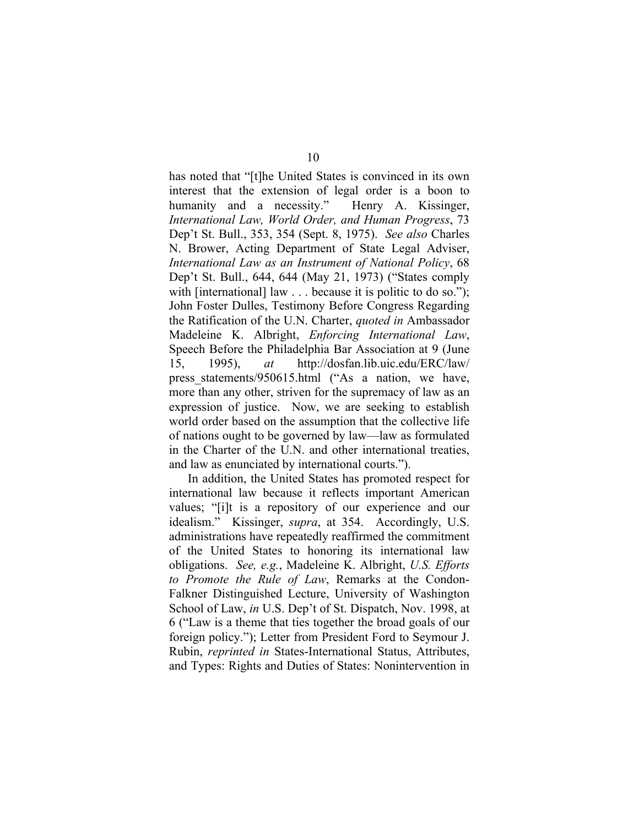has noted that "[t]he United States is convinced in its own interest that the extension of legal order is a boon to humanity and a necessity." Henry A. Kissinger, *International Law, World Order, and Human Progress*, 73 Dep't St. Bull., 353, 354 (Sept. 8, 1975). *See also* Charles N. Brower, Acting Department of State Legal Adviser, *International Law as an Instrument of National Policy*, 68 Dep't St. Bull., 644, 644 (May 21, 1973) ("States comply with [international] law . . . because it is politic to do so."); John Foster Dulles, Testimony Before Congress Regarding the Ratification of the U.N. Charter, *quoted in* Ambassador Madeleine K. Albright, *Enforcing International Law*, Speech Before the Philadelphia Bar Association at 9 (June 15, 1995), *at* http://dosfan.lib.uic.edu/ERC/law/ press statements/950615.html ("As a nation, we have, more than any other, striven for the supremacy of law as an expression of justice. Now, we are seeking to establish world order based on the assumption that the collective life of nations ought to be governed by law—law as formulated in the Charter of the U.N. and other international treaties, and law as enunciated by international courts.").

In addition, the United States has promoted respect for international law because it reflects important American values; "[i]t is a repository of our experience and our idealism." Kissinger, *supra*, at 354. Accordingly, U.S. administrations have repeatedly reaffirmed the commitment of the United States to honoring its international law obligations. *See, e.g.*, Madeleine K. Albright, *U.S. Efforts to Promote the Rule of Law*, Remarks at the Condon-Falkner Distinguished Lecture, University of Washington School of Law, *in* U.S. Dep't of St. Dispatch, Nov. 1998, at 6 ("Law is a theme that ties together the broad goals of our foreign policy."); Letter from President Ford to Seymour J. Rubin, *reprinted in* States-International Status, Attributes, and Types: Rights and Duties of States: Nonintervention in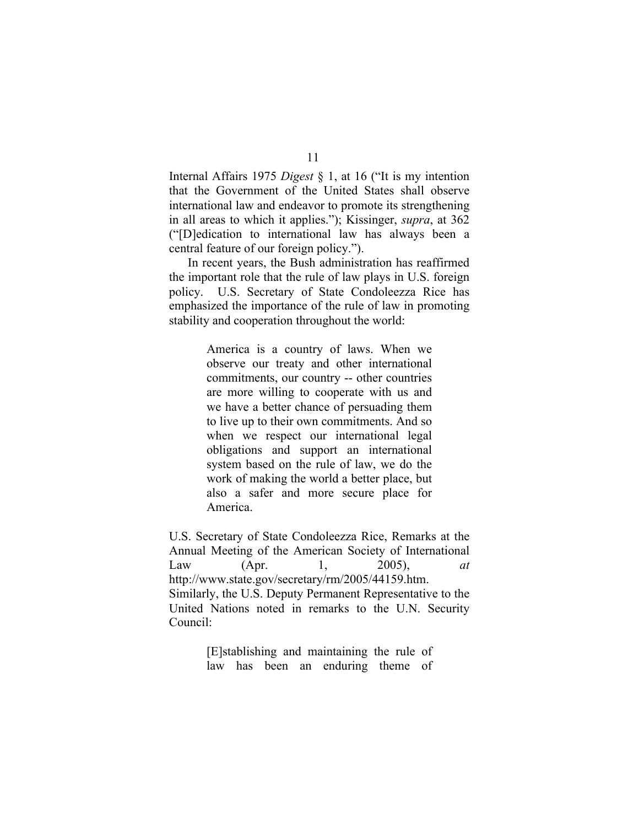Internal Affairs 1975 *Digest* § 1, at 16 ("It is my intention that the Government of the United States shall observe international law and endeavor to promote its strengthening in all areas to which it applies."); Kissinger, *supra*, at 362 ("[D]edication to international law has always been a central feature of our foreign policy.").

In recent years, the Bush administration has reaffirmed the important role that the rule of law plays in U.S. foreign policy. U.S. Secretary of State Condoleezza Rice has emphasized the importance of the rule of law in promoting stability and cooperation throughout the world:

> America is a country of laws. When we observe our treaty and other international commitments, our country -- other countries are more willing to cooperate with us and we have a better chance of persuading them to live up to their own commitments. And so when we respect our international legal obligations and support an international system based on the rule of law, we do the work of making the world a better place, but also a safer and more secure place for America.

U.S. Secretary of State Condoleezza Rice, Remarks at the Annual Meeting of the American Society of International Law (Apr. 1, 2005), *at* http://www.state.gov/secretary/rm/2005/44159.htm. Similarly, the U.S. Deputy Permanent Representative to the United Nations noted in remarks to the U.N. Security Council:

> [E]stablishing and maintaining the rule of law has been an enduring theme of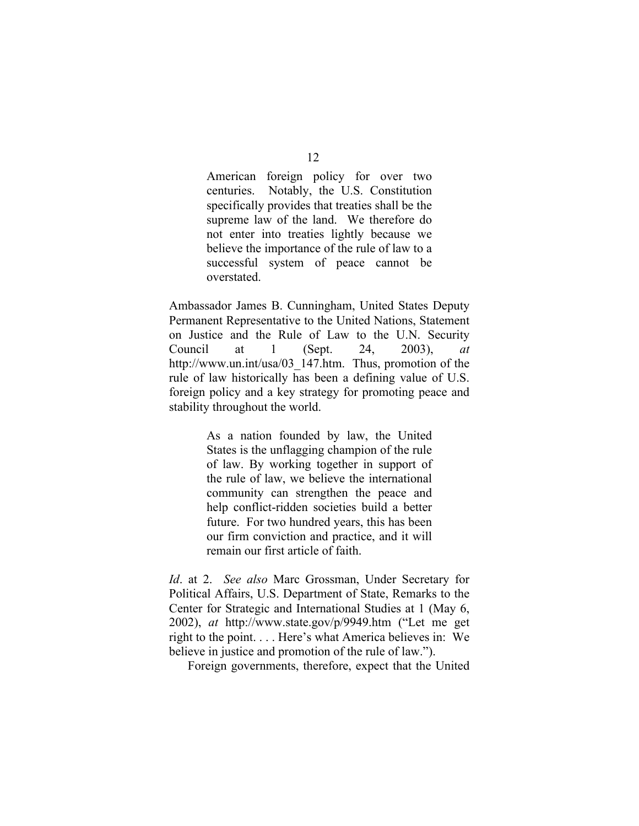American foreign policy for over two centuries. Notably, the U.S. Constitution specifically provides that treaties shall be the supreme law of the land. We therefore do not enter into treaties lightly because we believe the importance of the rule of law to a successful system of peace cannot be overstated.

Ambassador James B. Cunningham, United States Deputy Permanent Representative to the United Nations, Statement on Justice and the Rule of Law to the U.N. Security Council at 1 (Sept. 24, 2003), *at* http://www.un.int/usa/03\_147.htm. Thus, promotion of the rule of law historically has been a defining value of U.S. foreign policy and a key strategy for promoting peace and stability throughout the world.

> As a nation founded by law, the United States is the unflagging champion of the rule of law. By working together in support of the rule of law, we believe the international community can strengthen the peace and help conflict-ridden societies build a better future. For two hundred years, this has been our firm conviction and practice, and it will remain our first article of faith.

*Id*. at 2. *See also* Marc Grossman, Under Secretary for Political Affairs, U.S. Department of State, Remarks to the Center for Strategic and International Studies at 1 (May 6, 2002), *at* http://www.state.gov/p/9949.htm ("Let me get right to the point. . . . Here's what America believes in: We believe in justice and promotion of the rule of law.").

Foreign governments, therefore, expect that the United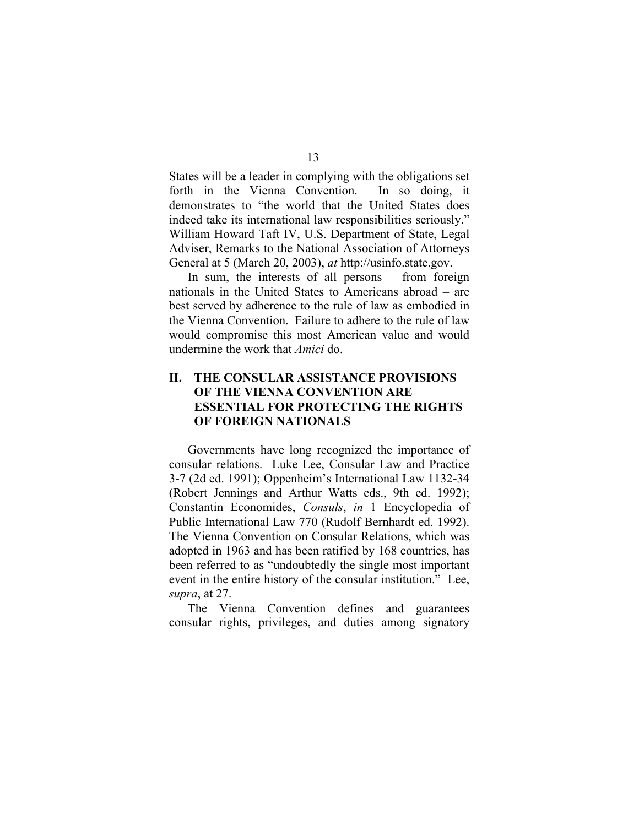States will be a leader in complying with the obligations set forth in the Vienna Convention. In so doing, it demonstrates to "the world that the United States does indeed take its international law responsibilities seriously." William Howard Taft IV, U.S. Department of State, Legal Adviser, Remarks to the National Association of Attorneys General at 5 (March 20, 2003), *at* http://usinfo.state.gov.

In sum, the interests of all persons – from foreign nationals in the United States to Americans abroad – are best served by adherence to the rule of law as embodied in the Vienna Convention. Failure to adhere to the rule of law would compromise this most American value and would undermine the work that *Amici* do.

## **II. THE CONSULAR ASSISTANCE PROVISIONS OF THE VIENNA CONVENTION ARE ESSENTIAL FOR PROTECTING THE RIGHTS OF FOREIGN NATIONALS**

Governments have long recognized the importance of consular relations. Luke Lee, Consular Law and Practice 3-7 (2d ed. 1991); Oppenheim's International Law 1132-34 (Robert Jennings and Arthur Watts eds., 9th ed. 1992); Constantin Economides, *Consuls*, *in* 1 Encyclopedia of Public International Law 770 (Rudolf Bernhardt ed. 1992). The Vienna Convention on Consular Relations, which was adopted in 1963 and has been ratified by 168 countries, has been referred to as "undoubtedly the single most important event in the entire history of the consular institution." Lee, *supra*, at 27.

The Vienna Convention defines and guarantees consular rights, privileges, and duties among signatory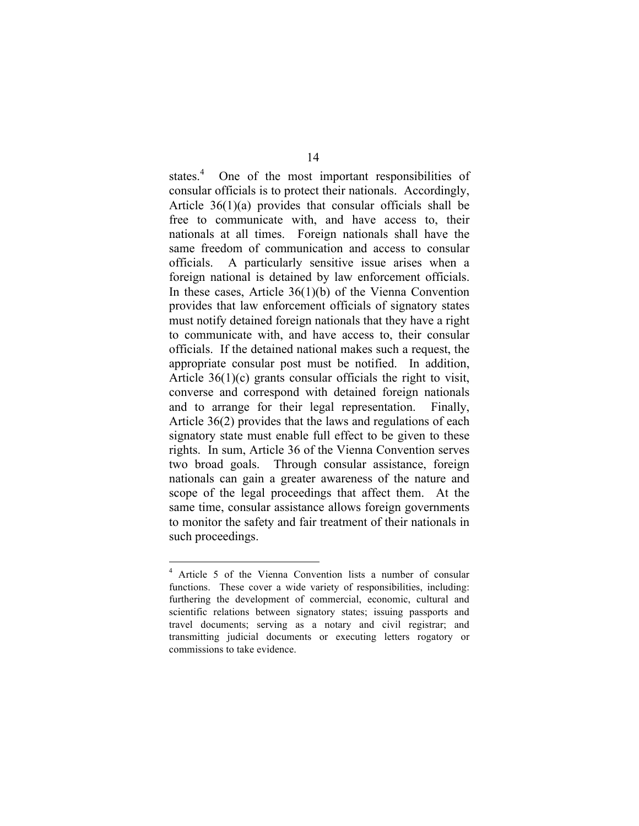states.<sup>4</sup> One of the most important responsibilities of consular officials is to protect their nationals. Accordingly, Article 36(1)(a) provides that consular officials shall be free to communicate with, and have access to, their nationals at all times. Foreign nationals shall have the same freedom of communication and access to consular officials. A particularly sensitive issue arises when a foreign national is detained by law enforcement officials. In these cases, Article 36(1)(b) of the Vienna Convention provides that law enforcement officials of signatory states must notify detained foreign nationals that they have a right to communicate with, and have access to, their consular officials. If the detained national makes such a request, the appropriate consular post must be notified. In addition, Article 36(1)(c) grants consular officials the right to visit, converse and correspond with detained foreign nationals and to arrange for their legal representation. Finally, Article 36(2) provides that the laws and regulations of each signatory state must enable full effect to be given to these rights. In sum, Article 36 of the Vienna Convention serves two broad goals. Through consular assistance, foreign nationals can gain a greater awareness of the nature and scope of the legal proceedings that affect them. At the same time, consular assistance allows foreign governments to monitor the safety and fair treatment of their nationals in such proceedings.

 <sup>4</sup> Article 5 of the Vienna Convention lists a number of consular functions. These cover a wide variety of responsibilities, including: furthering the development of commercial, economic, cultural and scientific relations between signatory states; issuing passports and travel documents; serving as a notary and civil registrar; and transmitting judicial documents or executing letters rogatory or commissions to take evidence.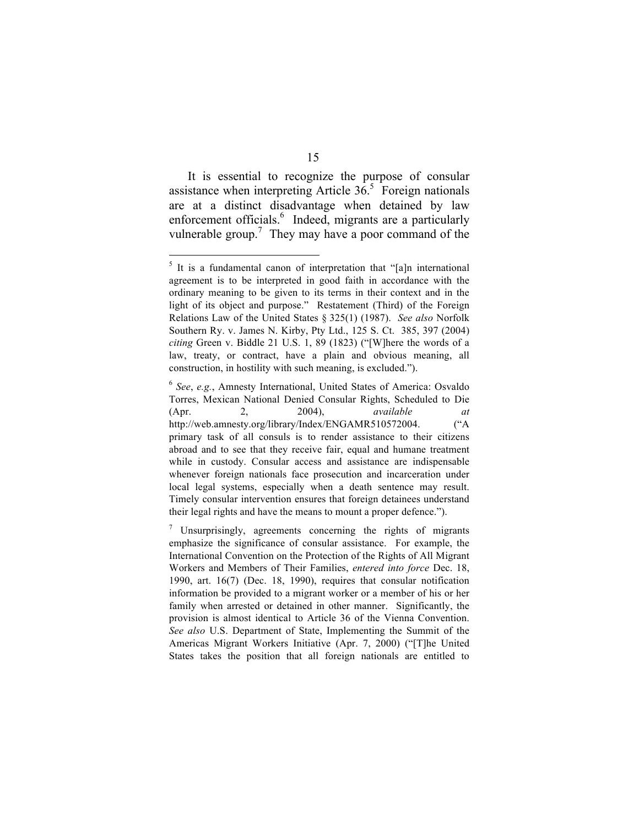It is essential to recognize the purpose of consular assistance when interpreting Article  $36<sup>5</sup>$  Foreign nationals are at a distinct disadvantage when detained by law enforcement officials.<sup>6</sup> Indeed, migrants are a particularly vulnerable group.<sup>7</sup> They may have a poor command of the

<sup>6</sup> *See*, *e.g.*, Amnesty International, United States of America: Osvaldo Torres, Mexican National Denied Consular Rights, Scheduled to Die (Apr. 2, 2004), *available at* http://web.amnesty.org/library/Index/ENGAMR510572004. ("A primary task of all consuls is to render assistance to their citizens abroad and to see that they receive fair, equal and humane treatment while in custody. Consular access and assistance are indispensable whenever foreign nationals face prosecution and incarceration under local legal systems, especially when a death sentence may result. Timely consular intervention ensures that foreign detainees understand their legal rights and have the means to mount a proper defence.").

 $<sup>5</sup>$  It is a fundamental canon of interpretation that "[a]n international</sup> agreement is to be interpreted in good faith in accordance with the ordinary meaning to be given to its terms in their context and in the light of its object and purpose." Restatement (Third) of the Foreign Relations Law of the United States § 325(1) (1987). *See also* Norfolk Southern Ry. v. James N. Kirby, Pty Ltd., 125 S. Ct. 385, 397 (2004) *citing* Green v. Biddle 21 U.S. 1, 89 (1823) ("[W]here the words of a law, treaty, or contract, have a plain and obvious meaning, all construction, in hostility with such meaning, is excluded.").

 $\frac{7}{7}$  Unsurprisingly, agreements concerning the rights of migrants emphasize the significance of consular assistance. For example, the International Convention on the Protection of the Rights of All Migrant Workers and Members of Their Families, *entered into force* Dec. 18, 1990, art. 16(7) (Dec. 18, 1990), requires that consular notification information be provided to a migrant worker or a member of his or her family when arrested or detained in other manner. Significantly, the provision is almost identical to Article 36 of the Vienna Convention. *See also* U.S. Department of State, Implementing the Summit of the Americas Migrant Workers Initiative (Apr. 7, 2000) ("[T]he United States takes the position that all foreign nationals are entitled to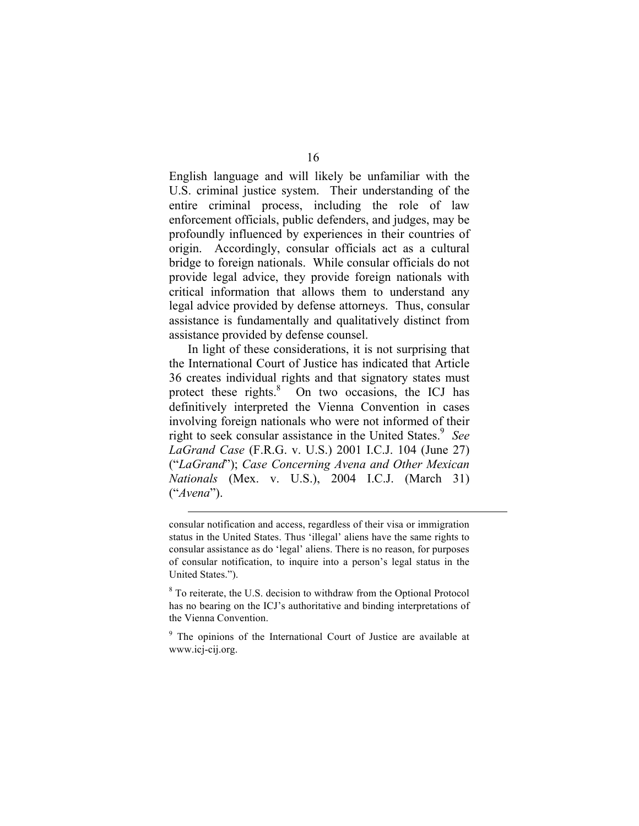English language and will likely be unfamiliar with the U.S. criminal justice system. Their understanding of the entire criminal process, including the role of law enforcement officials, public defenders, and judges, may be profoundly influenced by experiences in their countries of origin. Accordingly, consular officials act as a cultural bridge to foreign nationals. While consular officials do not provide legal advice, they provide foreign nationals with critical information that allows them to understand any legal advice provided by defense attorneys. Thus, consular assistance is fundamentally and qualitatively distinct from assistance provided by defense counsel.

In light of these considerations, it is not surprising that the International Court of Justice has indicated that Article 36 creates individual rights and that signatory states must protect these rights.<sup>8</sup> On two occasions, the ICJ has definitively interpreted the Vienna Convention in cases involving foreign nationals who were not informed of their right to seek consular assistance in the United States.<sup>9</sup> See *LaGrand Case* (F.R.G. v. U.S.) 2001 I.C.J. 104 (June 27) ("*LaGrand*"); *Case Concerning Avena and Other Mexican Nationals* (Mex. v. U.S.), 2004 I.C.J. (March 31) ("*Avena*").

consular notification and access, regardless of their visa or immigration status in the United States. Thus 'illegal' aliens have the same rights to consular assistance as do 'legal' aliens. There is no reason, for purposes of consular notification, to inquire into a person's legal status in the United States.").

 $\overline{a}$ 

<sup>8</sup> To reiterate, the U.S. decision to withdraw from the Optional Protocol has no bearing on the ICJ's authoritative and binding interpretations of the Vienna Convention.

<sup>9</sup> The opinions of the International Court of Justice are available at www.icj-cij.org.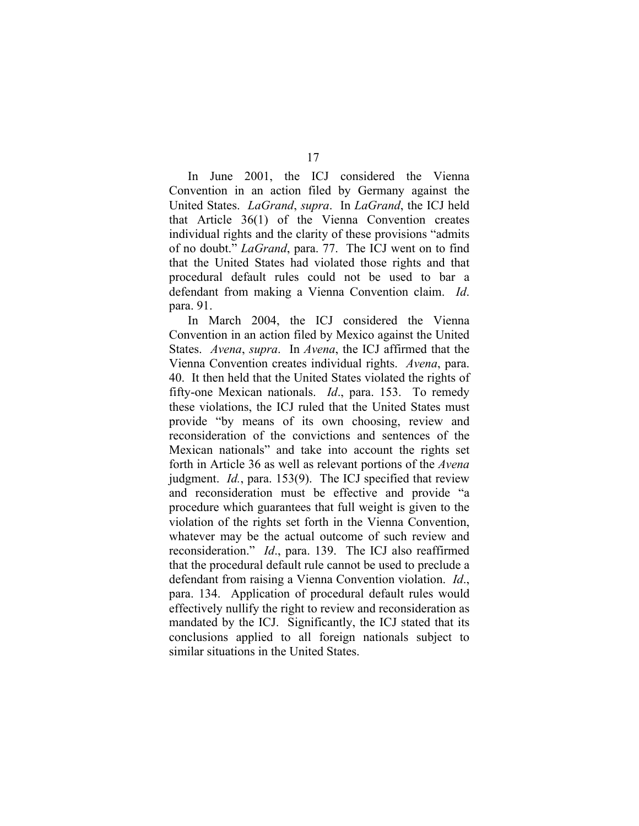17

In June 2001, the ICJ considered the Vienna Convention in an action filed by Germany against the United States. *LaGrand*, *supra*. In *LaGrand*, the ICJ held that Article 36(1) of the Vienna Convention creates individual rights and the clarity of these provisions "admits of no doubt." *LaGrand*, para. 77. The ICJ went on to find that the United States had violated those rights and that procedural default rules could not be used to bar a defendant from making a Vienna Convention claim. *Id*. para. 91.

In March 2004, the ICJ considered the Vienna Convention in an action filed by Mexico against the United States. *Avena*, *supra*. In *Avena*, the ICJ affirmed that the Vienna Convention creates individual rights. *Avena*, para. 40. It then held that the United States violated the rights of fifty-one Mexican nationals. *Id*., para. 153. To remedy these violations, the ICJ ruled that the United States must provide "by means of its own choosing, review and reconsideration of the convictions and sentences of the Mexican nationals" and take into account the rights set forth in Article 36 as well as relevant portions of the *Avena*  judgment. *Id.*, para. 153(9). The ICJ specified that review and reconsideration must be effective and provide "a procedure which guarantees that full weight is given to the violation of the rights set forth in the Vienna Convention, whatever may be the actual outcome of such review and reconsideration." *Id*., para. 139. The ICJ also reaffirmed that the procedural default rule cannot be used to preclude a defendant from raising a Vienna Convention violation. *Id*., para. 134. Application of procedural default rules would effectively nullify the right to review and reconsideration as mandated by the ICJ. Significantly, the ICJ stated that its conclusions applied to all foreign nationals subject to similar situations in the United States.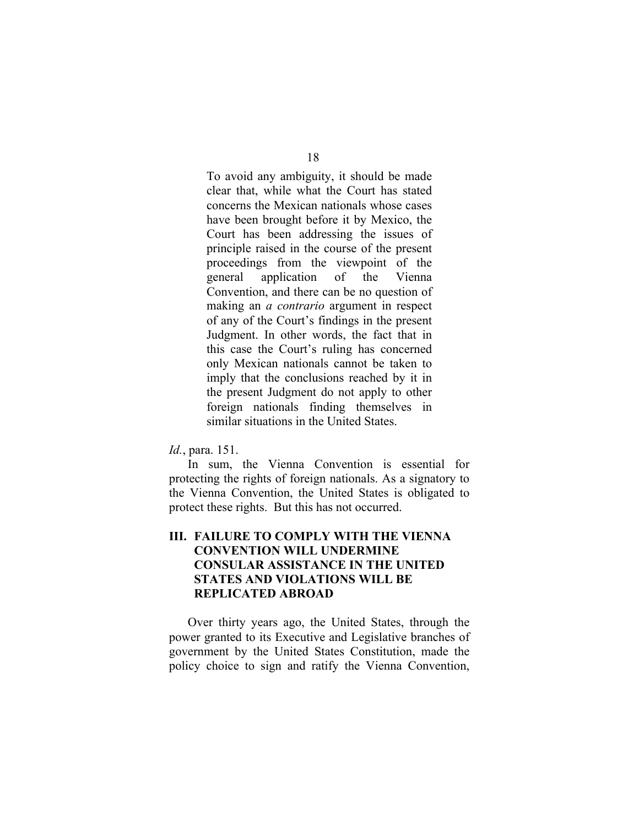To avoid any ambiguity, it should be made clear that, while what the Court has stated concerns the Mexican nationals whose cases have been brought before it by Mexico, the Court has been addressing the issues of principle raised in the course of the present proceedings from the viewpoint of the general application of the Vienna Convention, and there can be no question of making an *a contrario* argument in respect of any of the Court's findings in the present Judgment. In other words, the fact that in this case the Court's ruling has concerned only Mexican nationals cannot be taken to imply that the conclusions reached by it in the present Judgment do not apply to other foreign nationals finding themselves in similar situations in the United States.

#### *Id.*, para. 151.

In sum, the Vienna Convention is essential for protecting the rights of foreign nationals. As a signatory to the Vienna Convention, the United States is obligated to protect these rights. But this has not occurred.

## **III. FAILURE TO COMPLY WITH THE VIENNA CONVENTION WILL UNDERMINE CONSULAR ASSISTANCE IN THE UNITED STATES AND VIOLATIONS WILL BE REPLICATED ABROAD**

Over thirty years ago, the United States, through the power granted to its Executive and Legislative branches of government by the United States Constitution, made the policy choice to sign and ratify the Vienna Convention,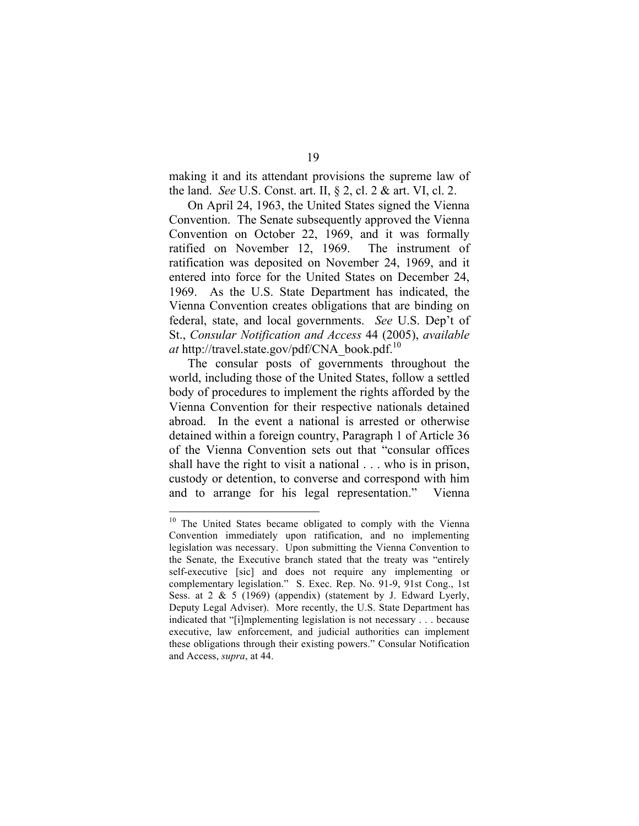making it and its attendant provisions the supreme law of the land. *See* U.S. Const. art. II, § 2, cl. 2 & art. VI, cl. 2.

On April 24, 1963, the United States signed the Vienna Convention. The Senate subsequently approved the Vienna Convention on October 22, 1969, and it was formally ratified on November 12, 1969. The instrument of ratification was deposited on November 24, 1969, and it entered into force for the United States on December 24, 1969. As the U.S. State Department has indicated, the Vienna Convention creates obligations that are binding on federal, state, and local governments. *See* U.S. Dep't of St., *Consular Notification and Access* 44 (2005), *available at* http://travel.state.gov/pdf/CNA\_book.pdf. 10

The consular posts of governments throughout the world, including those of the United States, follow a settled body of procedures to implement the rights afforded by the Vienna Convention for their respective nationals detained abroad. In the event a national is arrested or otherwise detained within a foreign country, Paragraph 1 of Article 36 of the Vienna Convention sets out that "consular offices shall have the right to visit a national . . . who is in prison, custody or detention, to converse and correspond with him and to arrange for his legal representation." Vienna

<sup>&</sup>lt;sup>10</sup> The United States became obligated to comply with the Vienna Convention immediately upon ratification, and no implementing legislation was necessary. Upon submitting the Vienna Convention to the Senate, the Executive branch stated that the treaty was "entirely self-executive [sic] and does not require any implementing or complementary legislation." S. Exec. Rep. No. 91-9, 91st Cong., 1st Sess. at 2 & 5 (1969) (appendix) (statement by J. Edward Lyerly, Deputy Legal Adviser). More recently, the U.S. State Department has indicated that "[i]mplementing legislation is not necessary . . . because executive, law enforcement, and judicial authorities can implement these obligations through their existing powers." Consular Notification and Access, *supra*, at 44.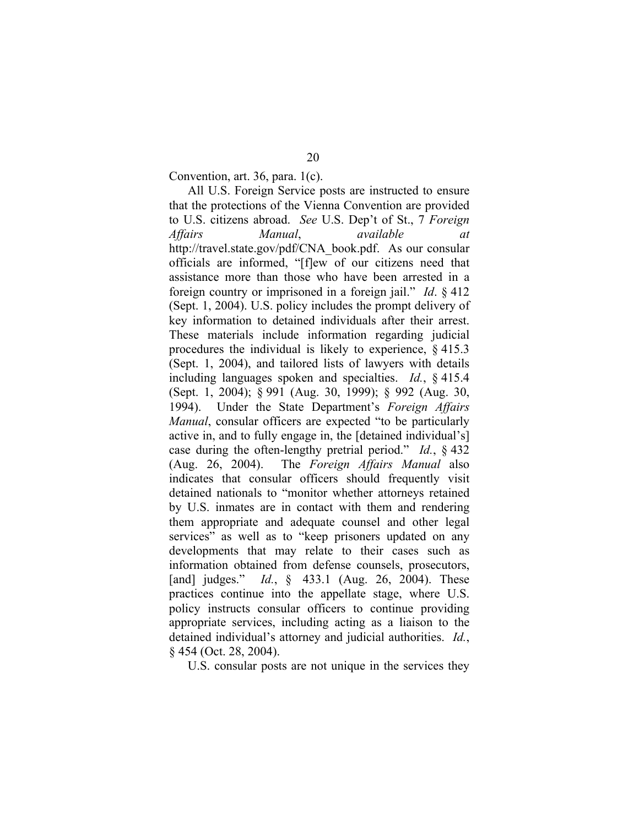Convention, art. 36, para. 1(c).

All U.S. Foreign Service posts are instructed to ensure that the protections of the Vienna Convention are provided to U.S. citizens abroad. *See* U.S. Dep't of St., 7 *Foreign Affairs Manual*, *available at* http://travel.state.gov/pdf/CNA\_book.pdf. As our consular officials are informed, "[f]ew of our citizens need that assistance more than those who have been arrested in a foreign country or imprisoned in a foreign jail." *Id*. § 412 (Sept. 1, 2004). U.S. policy includes the prompt delivery of key information to detained individuals after their arrest. These materials include information regarding judicial procedures the individual is likely to experience, § 415.3 (Sept. 1, 2004), and tailored lists of lawyers with details including languages spoken and specialties. *Id.*, § 415.4 (Sept. 1, 2004); § 991 (Aug. 30, 1999); § 992 (Aug. 30, 1994). Under the State Department's *Foreign Affairs Manual*, consular officers are expected "to be particularly active in, and to fully engage in, the [detained individual's] case during the often-lengthy pretrial period." *Id.*, § 432 (Aug. 26, 2004). The *Foreign Affairs Manual* also indicates that consular officers should frequently visit detained nationals to "monitor whether attorneys retained by U.S. inmates are in contact with them and rendering them appropriate and adequate counsel and other legal services" as well as to "keep prisoners updated on any developments that may relate to their cases such as information obtained from defense counsels, prosecutors, [and] judges." *Id.*, § 433.1 (Aug. 26, 2004). These practices continue into the appellate stage, where U.S. policy instructs consular officers to continue providing appropriate services, including acting as a liaison to the detained individual's attorney and judicial authorities. *Id.*, § 454 (Oct. 28, 2004).

U.S. consular posts are not unique in the services they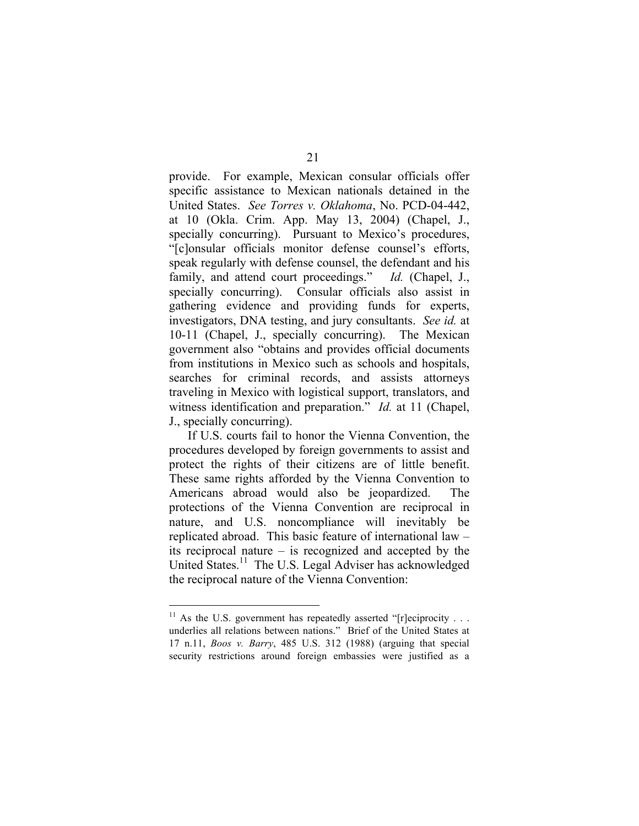provide. For example, Mexican consular officials offer specific assistance to Mexican nationals detained in the United States. *See Torres v. Oklahoma*, No. PCD-04-442, at 10 (Okla. Crim. App. May 13, 2004) (Chapel, J., specially concurring). Pursuant to Mexico's procedures, "[c]onsular officials monitor defense counsel's efforts, speak regularly with defense counsel, the defendant and his family, and attend court proceedings." *Id.* (Chapel, J., specially concurring). Consular officials also assist in gathering evidence and providing funds for experts, investigators, DNA testing, and jury consultants. *See id.* at 10-11 (Chapel, J., specially concurring). The Mexican government also "obtains and provides official documents from institutions in Mexico such as schools and hospitals, searches for criminal records, and assists attorneys traveling in Mexico with logistical support, translators, and witness identification and preparation." *Id.* at 11 (Chapel, J., specially concurring).

If U.S. courts fail to honor the Vienna Convention, the procedures developed by foreign governments to assist and protect the rights of their citizens are of little benefit. These same rights afforded by the Vienna Convention to Americans abroad would also be jeopardized. The protections of the Vienna Convention are reciprocal in nature, and U.S. noncompliance will inevitably be replicated abroad. This basic feature of international law – its reciprocal nature – is recognized and accepted by the United States.<sup>11</sup> The U.S. Legal Adviser has acknowledged the reciprocal nature of the Vienna Convention:

<sup>&</sup>lt;sup>11</sup> As the U.S. government has repeatedly asserted "[r]eciprocity . . . underlies all relations between nations." Brief of the United States at 17 n.11, *Boos v. Barry*, 485 U.S. 312 (1988) (arguing that special security restrictions around foreign embassies were justified as a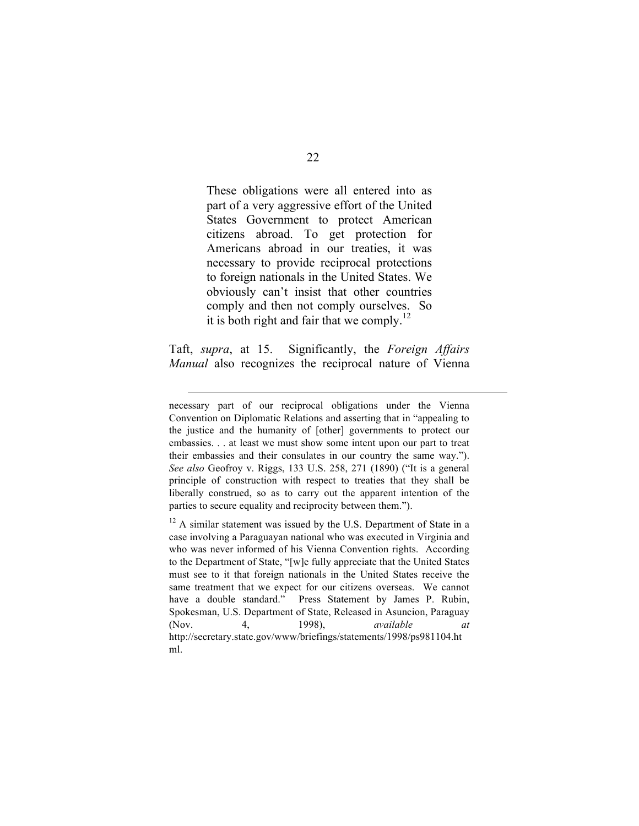These obligations were all entered into as part of a very aggressive effort of the United States Government to protect American citizens abroad. To get protection for Americans abroad in our treaties, it was necessary to provide reciprocal protections to foreign nationals in the United States. We obviously can't insist that other countries comply and then not comply ourselves. So it is both right and fair that we comply.<sup>12</sup>

Taft, *supra*, at 15. Significantly, the *Foreign Affairs Manual* also recognizes the reciprocal nature of Vienna

 $\overline{a}$ 

necessary part of our reciprocal obligations under the Vienna Convention on Diplomatic Relations and asserting that in "appealing to the justice and the humanity of [other] governments to protect our embassies. . . at least we must show some intent upon our part to treat their embassies and their consulates in our country the same way."). *See also* Geofroy v. Riggs, 133 U.S. 258, 271 (1890) ("It is a general principle of construction with respect to treaties that they shall be liberally construed, so as to carry out the apparent intention of the parties to secure equality and reciprocity between them.").

 $12$  A similar statement was issued by the U.S. Department of State in a case involving a Paraguayan national who was executed in Virginia and who was never informed of his Vienna Convention rights. According to the Department of State, "[w]e fully appreciate that the United States must see to it that foreign nationals in the United States receive the same treatment that we expect for our citizens overseas. We cannot have a double standard." Press Statement by James P. Rubin, Spokesman, U.S. Department of State, Released in Asuncion, Paraguay (Nov. 4, 1998), *available at* http://secretary.state.gov/www/briefings/statements/1998/ps981104.ht ml.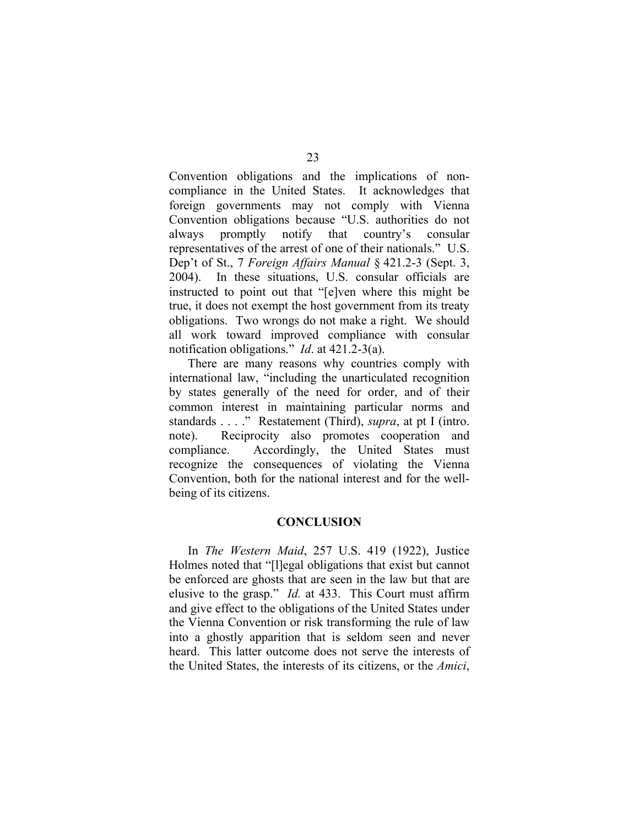Convention obligations and the implications of noncompliance in the United States. It acknowledges that foreign governments may not comply with Vienna Convention obligations because "U.S. authorities do not always promptly notify that country's consular representatives of the arrest of one of their nationals." U.S. Dep't of St., 7 *Foreign Affairs Manual* § 421.2-3 (Sept. 3, 2004). In these situations, U.S. consular officials are instructed to point out that "[e]ven where this might be true, it does not exempt the host government from its treaty obligations. Two wrongs do not make a right. We should all work toward improved compliance with consular notification obligations." *Id*. at 421.2-3(a).

There are many reasons why countries comply with international law, "including the unarticulated recognition by states generally of the need for order, and of their common interest in maintaining particular norms and standards . . . ." Restatement (Third), *supra*, at pt I (intro. note). Reciprocity also promotes cooperation and compliance. Accordingly, the United States must recognize the consequences of violating the Vienna Convention, both for the national interest and for the wellbeing of its citizens.

#### **CONCLUSION**

In *The Western Maid*, 257 U.S. 419 (1922), Justice Holmes noted that "[l]egal obligations that exist but cannot be enforced are ghosts that are seen in the law but that are elusive to the grasp." *Id.* at 433. This Court must affirm and give effect to the obligations of the United States under the Vienna Convention or risk transforming the rule of law into a ghostly apparition that is seldom seen and never heard. This latter outcome does not serve the interests of the United States, the interests of its citizens, or the *Amici*,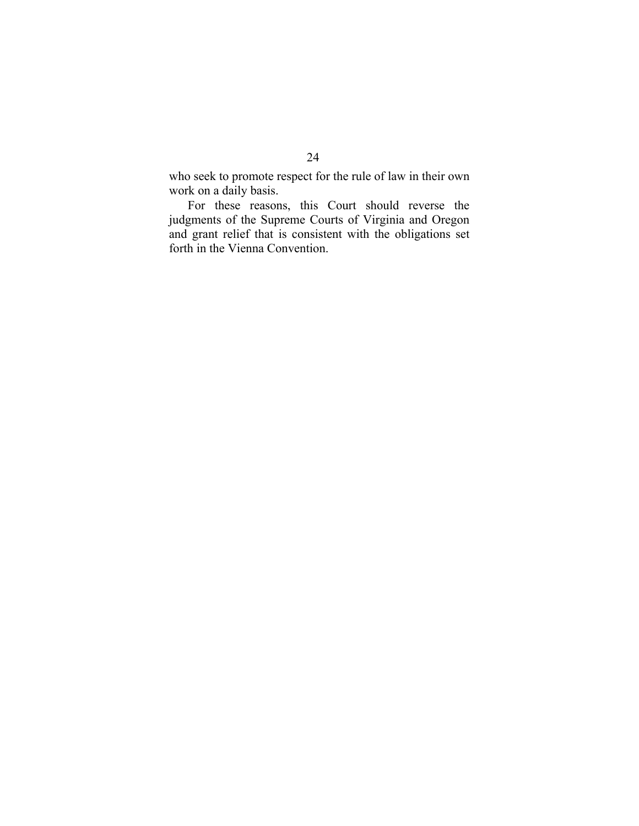who seek to promote respect for the rule of law in their own work on a daily basis.

For these reasons, this Court should reverse the judgments of the Supreme Courts of Virginia and Oregon and grant relief that is consistent with the obligations set forth in the Vienna Convention.